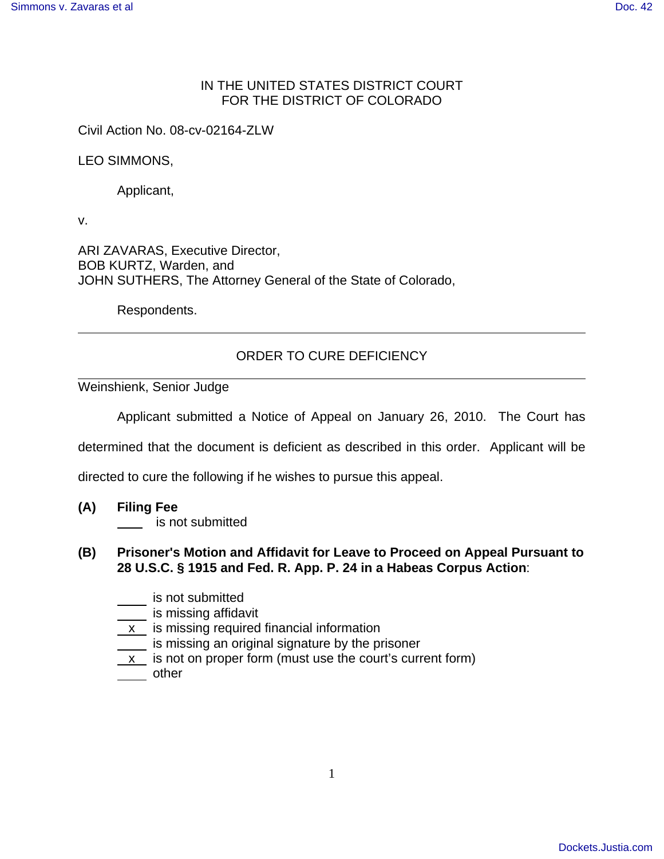## IN THE UNITED STATES DISTRICT COURT FOR THE DISTRICT OF COLORADO

Civil Action No. 08-cv-02164-ZLW

LEO SIMMONS,

Applicant,

v.

ARI ZAVARAS, Executive Director, BOB KURTZ, Warden, and JOHN SUTHERS, The Attorney General of the State of Colorado,

Respondents.

## ORDER TO CURE DEFICIENCY

Weinshienk, Senior Judge

Applicant submitted a Notice of Appeal on January 26, 2010. The Court has

determined that the document is deficient as described in this order. Applicant will be

directed to cure the following if he wishes to pursue this appeal.

**(A) Filing Fee** 

**is not submitted** 

## **(B) Prisoner's Motion and Affidavit for Leave to Proceed on Appeal Pursuant to 28 U.S.C. § 1915 and Fed. R. App. P. 24 in a Habeas Corpus Action**:

- is not submitted
- **is missing affidavit**
- $\underline{\mathsf{x}}$  is missing required financial information
- $\frac{1}{\sqrt{1-\frac{1}{\sqrt{1-\frac{1}{\sqrt{1-\frac{1}{\sqrt{1-\frac{1}{\sqrt{1-\frac{1}{\sqrt{1-\frac{1}{\sqrt{1-\frac{1}{\sqrt{1-\frac{1}{\sqrt{1-\frac{1}{\sqrt{1-\frac{1}{\sqrt{1-\frac{1}{\sqrt{1-\frac{1}{\sqrt{1-\frac{1}{\sqrt{1-\frac{1}{\sqrt{1-\frac{1}{\sqrt{1-\frac{1}{\sqrt{1-\frac{1}{\sqrt{1-\frac{1}{\sqrt{1-\frac{1}{\sqrt{1-\frac{1}{\sqrt{1-\frac{1}{\sqrt{1-\frac{1}{\sqrt{1-\frac{1}{\sqrt{1-\frac{1$
- x is not on proper form (must use the court's current form) other